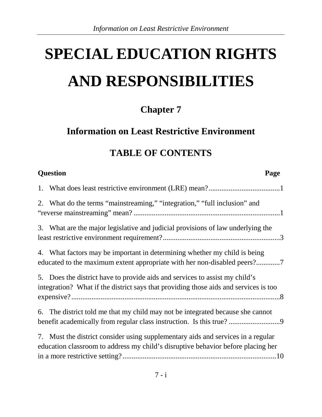# **SPECIAL EDUCATION RIGHTS AND RESPONSIBILITIES**

# **Chapter 7**

# **Information on Least Restrictive Environment**

# **TABLE OF CONTENTS**

| <b>Question</b>                                                                                                                                                      | Page |
|----------------------------------------------------------------------------------------------------------------------------------------------------------------------|------|
|                                                                                                                                                                      |      |
| 2. What do the terms "mainstreaming," "integration," "full inclusion" and                                                                                            |      |
| 3. What are the major legislative and judicial provisions of law underlying the                                                                                      |      |
| 4. What factors may be important in determining whether my child is being<br>educated to the maximum extent appropriate with her non-disabled peers?7                |      |
| 5. Does the district have to provide aids and services to assist my child's<br>integration? What if the district says that providing those aids and services is too  |      |
| 6. The district told me that my child may not be integrated because she cannot<br>benefit academically from regular class instruction. Is this true?                 |      |
| 7. Must the district consider using supplementary aids and services in a regular<br>education classroom to address my child's disruptive behavior before placing her |      |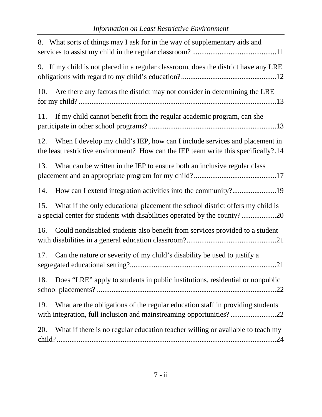| 8. What sorts of things may I ask for in the way of supplementary aids and                                                                                               |
|--------------------------------------------------------------------------------------------------------------------------------------------------------------------------|
| 9. If my child is not placed in a regular classroom, does the district have any LRE                                                                                      |
| Are there any factors the district may not consider in determining the LRE<br>10.                                                                                        |
| If my child cannot benefit from the regular academic program, can she<br>11.                                                                                             |
| When I develop my child's IEP, how can I include services and placement in<br>12.<br>the least restrictive environment? How can the IEP team write this specifically?.14 |
| What can be written in the IEP to ensure both an inclusive regular class<br>13.                                                                                          |
| How can I extend integration activities into the community?19<br>14.                                                                                                     |
| What if the only educational placement the school district offers my child is<br>15.<br>a special center for students with disabilities operated by the county?20        |
| Could nondisabled students also benefit from services provided to a student<br>16.                                                                                       |
| Can the nature or severity of my child's disability be used to justify a<br>17.<br>.21                                                                                   |
| Does "LRE" apply to students in public institutions, residential or nonpublic<br>18.                                                                                     |
| What are the obligations of the regular education staff in providing students<br>19.<br>with integration, full inclusion and mainstreaming opportunities?22              |
| What if there is no regular education teacher willing or available to teach my<br>20.                                                                                    |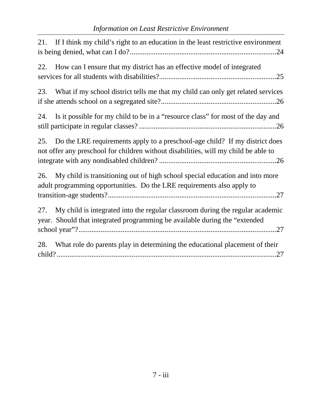| If I think my child's right to an education in the least restrictive environment<br>21.                                                                                   |
|---------------------------------------------------------------------------------------------------------------------------------------------------------------------------|
| How can I ensure that my district has an effective model of integrated<br>22.                                                                                             |
| What if my school district tells me that my child can only get related services<br>23.                                                                                    |
| Is it possible for my child to be in a "resource class" for most of the day and<br>24.                                                                                    |
| Do the LRE requirements apply to a preschool-age child? If my district does<br>25.<br>not offer any preschool for children without disabilities, will my child be able to |
| My child is transitioning out of high school special education and into more<br>26.<br>adult programming opportunities. Do the LRE requirements also apply to             |
| My child is integrated into the regular classroom during the regular academic<br>27.<br>year. Should that integrated programming be available during the "extended        |
| What role do parents play in determining the educational placement of their<br>28.                                                                                        |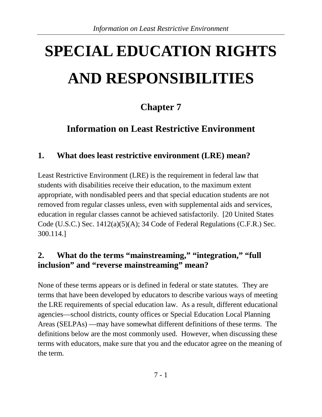# **SPECIAL EDUCATION RIGHTS AND RESPONSIBILITIES**

# **Chapter 7**

# **Information on Least Restrictive Environment**

#### <span id="page-3-0"></span>**1. What does least restrictive environment (LRE) mean?**

Least Restrictive Environment (LRE) is the requirement in federal law that students with disabilities receive their education, to the maximum extent appropriate, with nondisabled peers and that special education students are not removed from regular classes unless, even with supplemental aids and services, education in regular classes cannot be achieved satisfactorily. [20 United States Code (U.S.C.) Sec. 1412(a)(5)(A); 34 Code of Federal Regulations (C.F.R.) Sec. 300.114.]

#### <span id="page-3-1"></span>**2. What do the terms "mainstreaming," "integration," "full inclusion" and "reverse mainstreaming" mean?**

None of these terms appears or is defined in federal or state statutes. They are terms that have been developed by educators to describe various ways of meeting the LRE requirements of special education law. As a result, different educational agencies—school districts, county offices or Special Education Local Planning Areas (SELPAs) —may have somewhat different definitions of these terms. The definitions below are the most commonly used. However, when discussing these terms with educators, make sure that you and the educator agree on the meaning of the term.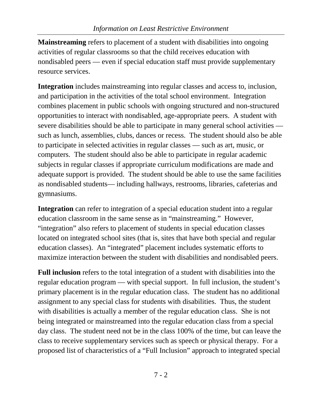**Mainstreaming** refers to placement of a student with disabilities into ongoing activities of regular classrooms so that the child receives education with nondisabled peers — even if special education staff must provide supplementary resource services.

**Integration** includes mainstreaming into regular classes and access to, inclusion, and participation in the activities of the total school environment. Integration combines placement in public schools with ongoing structured and non-structured opportunities to interact with nondisabled, age-appropriate peers. A student with severe disabilities should be able to participate in many general school activities such as lunch, assemblies, clubs, dances or recess. The student should also be able to participate in selected activities in regular classes — such as art, music, or computers. The student should also be able to participate in regular academic subjects in regular classes if appropriate curriculum modifications are made and adequate support is provided. The student should be able to use the same facilities as nondisabled students— including hallways, restrooms, libraries, cafeterias and gymnasiums.

**Integration** can refer to integration of a special education student into a regular education classroom in the same sense as in "mainstreaming." However, "integration" also refers to placement of students in special education classes located on integrated school sites (that is, sites that have both special and regular education classes). An "integrated" placement includes systematic efforts to maximize interaction between the student with disabilities and nondisabled peers.

**Full inclusion** refers to the total integration of a student with disabilities into the regular education program — with special support. In full inclusion, the student's primary placement is in the regular education class. The student has no additional assignment to any special class for students with disabilities. Thus, the student with disabilities is actually a member of the regular education class. She is not being integrated or mainstreamed into the regular education class from a special day class. The student need not be in the class 100% of the time, but can leave the class to receive supplementary services such as speech or physical therapy. For a proposed list of characteristics of a "Full Inclusion" approach to integrated special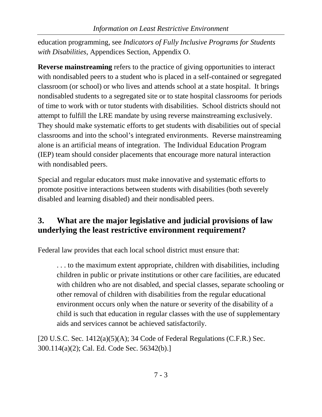education programming, see *Indicators of Fully Inclusive Programs for Students with Disabilities*, Appendices Section, Appendix O.

**Reverse mainstreaming** refers to the practice of giving opportunities to interact with nondisabled peers to a student who is placed in a self-contained or segregated classroom (or school) or who lives and attends school at a state hospital. It brings nondisabled students to a segregated site or to state hospital classrooms for periods of time to work with or tutor students with disabilities. School districts should not attempt to fulfill the LRE mandate by using reverse mainstreaming exclusively. They should make systematic efforts to get students with disabilities out of special classrooms and into the school's integrated environments. Reverse mainstreaming alone is an artificial means of integration. The Individual Education Program (IEP) team should consider placements that encourage more natural interaction with nondisabled peers.

Special and regular educators must make innovative and systematic efforts to promote positive interactions between students with disabilities (both severely disabled and learning disabled) and their nondisabled peers.

# <span id="page-5-0"></span>**3. What are the major legislative and judicial provisions of law underlying the least restrictive environment requirement?**

Federal law provides that each local school district must ensure that:

. . . to the maximum extent appropriate, children with disabilities, including children in public or private institutions or other care facilities, are educated with children who are not disabled, and special classes, separate schooling or other removal of children with disabilities from the regular educational environment occurs only when the nature or severity of the disability of a child is such that education in regular classes with the use of supplementary aids and services cannot be achieved satisfactorily.

 $[20 \text{ U.S.C.}$  Sec.  $1412(a)(5)(A)$ ; 34 Code of Federal Regulations (C.F.R.) Sec. 300.114(a)(2); Cal. Ed. Code Sec. 56342(b).]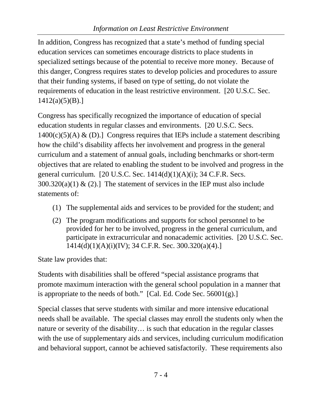In addition, Congress has recognized that a state's method of funding special education services can sometimes encourage districts to place students in specialized settings because of the potential to receive more money. Because of this danger, Congress requires states to develop policies and procedures to assure that their funding systems, if based on type of setting, do not violate the requirements of education in the least restrictive environment. [20 U.S.C. Sec.  $1412(a)(5)(B).$ 

Congress has specifically recognized the importance of education of special education students in regular classes and environments. [20 U.S.C. Secs.  $1400(c)(5)(A) \& (D).$  Congress requires that IEPs include a statement describing how the child's disability affects her involvement and progress in the general curriculum and a statement of annual goals, including benchmarks or short-term objectives that are related to enabling the student to be involved and progress in the general curriculum. [20 U.S.C. Sec.  $1414(d)(1)(A)(i)$ ; 34 C.F.R. Secs.  $300.320(a)(1)$  & (2).] The statement of services in the IEP must also include statements of:

- (1) The supplemental aids and services to be provided for the student; and
- (2) The program modifications and supports for school personnel to be provided for her to be involved, progress in the general curriculum, and participate in extracurricular and nonacademic activities. [20 U.S.C. Sec. 1414(d)(1)(A)(i)(IV); 34 C.F.R. Sec. 300.320(a)(4).]

State law provides that:

Students with disabilities shall be offered "special assistance programs that promote maximum interaction with the general school population in a manner that is appropriate to the needs of both."  $[Cal. Ed. Code Sec. 56001(g).]$ 

Special classes that serve students with similar and more intensive educational needs shall be available. The special classes may enroll the students only when the nature or severity of the disability… is such that education in the regular classes with the use of supplementary aids and services, including curriculum modification and behavioral support, cannot be achieved satisfactorily. These requirements also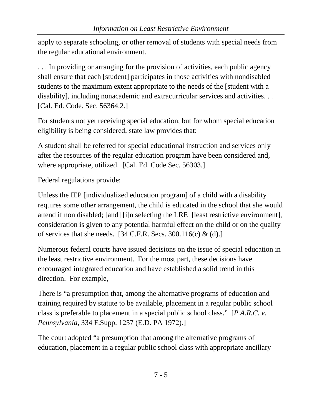apply to separate schooling, or other removal of students with special needs from the regular educational environment.

. . . In providing or arranging for the provision of activities, each public agency shall ensure that each [student] participates in those activities with nondisabled students to the maximum extent appropriate to the needs of the [student with a disability], including nonacademic and extracurricular services and activities. . . [Cal. Ed. Code. Sec. 56364.2.]

For students not yet receiving special education, but for whom special education eligibility is being considered, state law provides that:

A student shall be referred for special educational instruction and services only after the resources of the regular education program have been considered and, where appropriate, utilized. [Cal. Ed. Code Sec. 56303.]

Federal regulations provide:

Unless the IEP [individualized education program] of a child with a disability requires some other arrangement, the child is educated in the school that she would attend if non disabled; [and] [i]n selecting the LRE [least restrictive environment], consideration is given to any potential harmful effect on the child or on the quality of services that she needs. [34 C.F.R. Secs. 300.116(c) & (d).]

Numerous federal courts have issued decisions on the issue of special education in the least restrictive environment. For the most part, these decisions have encouraged integrated education and have established a solid trend in this direction. For example,

There is "a presumption that, among the alternative programs of education and training required by statute to be available, placement in a regular public school class is preferable to placement in a special public school class." [*P.A.R.C. v. Pennsylvania*, 334 F.Supp. 1257 (E.D. PA 1972).]

The court adopted "a presumption that among the alternative programs of education, placement in a regular public school class with appropriate ancillary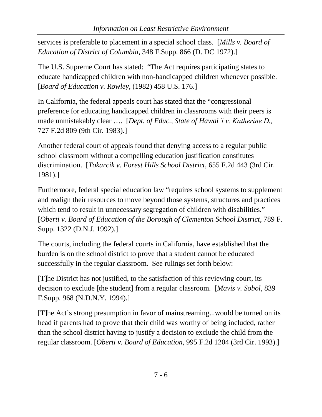services is preferable to placement in a special school class. [*Mills v. Board of Education of District of Columbia*, 348 F.Supp. 866 (D. DC 1972).]

The U.S. Supreme Court has stated: "The Act requires participating states to educate handicapped children with non-handicapped children whenever possible. [*Board of Education v. Rowley*, (1982) 458 U.S. 176.]

In California, the federal appeals court has stated that the "congressional preference for educating handicapped children in classrooms with their peers is made unmistakably clear …. [*Dept. of Educ., State of Hawai'i v. Katherine D*., 727 F.2d 809 (9th Cir. 1983).]

Another federal court of appeals found that denying access to a regular public school classroom without a compelling education justification constitutes discrimination. [*Tokarcik v. Forest Hills School District*, 655 F.2d 443 (3rd Cir. 1981).]

Furthermore, federal special education law "requires school systems to supplement and realign their resources to move beyond those systems, structures and practices which tend to result in unnecessary segregation of children with disabilities." [*Oberti v. Board of Education of the Borough of Clementon School District*, 789 F. Supp. 1322 (D.N.J. 1992).]

The courts, including the federal courts in California, have established that the burden is on the school district to prove that a student cannot be educated successfully in the regular classroom. See rulings set forth below:

[T]he District has not justified, to the satisfaction of this reviewing court, its decision to exclude [the student] from a regular classroom. [*Mavis v. Sobol*, 839 F.Supp. 968 (N.D.N.Y. 1994).]

[T]he Act's strong presumption in favor of mainstreaming...would be turned on its head if parents had to prove that their child was worthy of being included, rather than the school district having to justify a decision to exclude the child from the regular classroom. [*Oberti v. Board of Education*, 995 F.2d 1204 (3rd Cir. 1993).]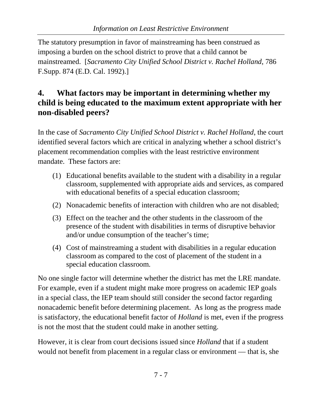The statutory presumption in favor of mainstreaming has been construed as imposing a burden on the school district to prove that a child cannot be mainstreamed. [*Sacramento City Unified School District v. Rachel Holland*, 786 F.Supp. 874 (E.D. Cal. 1992).]

#### <span id="page-9-0"></span>**4. What factors may be important in determining whether my child is being educated to the maximum extent appropriate with her non-disabled peers?**

In the case of *Sacramento City Unified School District v. Rachel Holland*, the court identified several factors which are critical in analyzing whether a school district's placement recommendation complies with the least restrictive environment mandate. These factors are:

- (1) Educational benefits available to the student with a disability in a regular classroom, supplemented with appropriate aids and services, as compared with educational benefits of a special education classroom;
- (2) Nonacademic benefits of interaction with children who are not disabled;
- (3) Effect on the teacher and the other students in the classroom of the presence of the student with disabilities in terms of disruptive behavior and/or undue consumption of the teacher's time;
- (4) Cost of mainstreaming a student with disabilities in a regular education classroom as compared to the cost of placement of the student in a special education classroom.

No one single factor will determine whether the district has met the LRE mandate. For example, even if a student might make more progress on academic IEP goals in a special class, the IEP team should still consider the second factor regarding nonacademic benefit before determining placement. As long as the progress made is satisfactory, the educational benefit factor of *Holland* is met, even if the progress is not the most that the student could make in another setting.

However, it is clear from court decisions issued since *Holland* that if a student would not benefit from placement in a regular class or environment — that is, she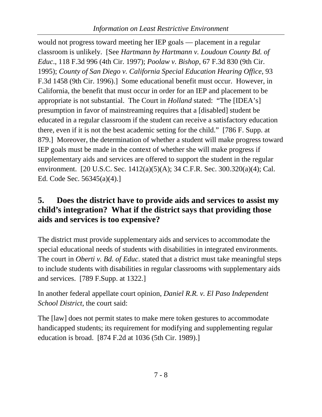would not progress toward meeting her IEP goals — placement in a regular classroom is unlikely. [See *Hartmann by Hartmann v. Loudoun County Bd. of Educ*., 118 F.3d 996 (4th Cir. 1997); *Poolaw v. Bishop*, 67 F.3d 830 (9th Cir. 1995); *County of San Diego v. California Special Education Hearing Office*, 93 F.3d 1458 (9th Cir. 1996).] Some educational benefit must occur. However, in California, the benefit that must occur in order for an IEP and placement to be appropriate is not substantial. The Court in *Holland* stated: "The [IDEA's] presumption in favor of mainstreaming requires that a [disabled] student be educated in a regular classroom if the student can receive a satisfactory education there, even if it is not the best academic setting for the child." [786 F. Supp. at 879.] Moreover, the determination of whether a student will make progress toward IEP goals must be made in the context of whether she will make progress if supplementary aids and services are offered to support the student in the regular environment. [20 U.S.C. Sec. 1412(a)(5)(A); 34 C.F.R. Sec. 300.320(a)(4); Cal. Ed. Code Sec. 56345(a)(4).]

#### <span id="page-10-0"></span>**5. Does the district have to provide aids and services to assist my child's integration? What if the district says that providing those aids and services is too expensive?**

The district must provide supplementary aids and services to accommodate the special educational needs of students with disabilities in integrated environments. The court in *Oberti v. Bd. of Educ*. stated that a district must take meaningful steps to include students with disabilities in regular classrooms with supplementary aids and services. [789 F.Supp. at 1322.]

In another federal appellate court opinion, *Daniel R.R. v. El Paso Independent School District*, the court said:

The [law] does not permit states to make mere token gestures to accommodate handicapped students; its requirement for modifying and supplementing regular education is broad. [874 F.2d at 1036 (5th Cir. 1989).]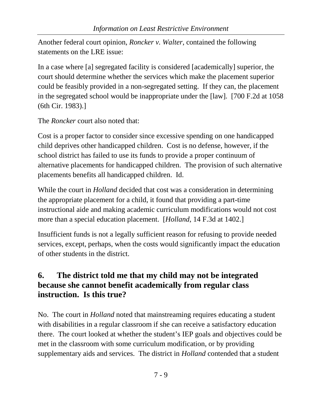Another federal court opinion, *Roncker v. Walter*, contained the following statements on the LRE issue:

In a case where [a] segregated facility is considered [academically] superior, the court should determine whether the services which make the placement superior could be feasibly provided in a non-segregated setting. If they can, the placement in the segregated school would be inappropriate under the [law]. [700 F.2d at 1058 (6th Cir. 1983).]

The *Roncker* court also noted that:

Cost is a proper factor to consider since excessive spending on one handicapped child deprives other handicapped children. Cost is no defense, however, if the school district has failed to use its funds to provide a proper continuum of alternative placements for handicapped children. The provision of such alternative placements benefits all handicapped children. Id.

While the court in *Holland* decided that cost was a consideration in determining the appropriate placement for a child, it found that providing a part-time instructional aide and making academic curriculum modifications would not cost more than a special education placement. [*Holland*, 14 F.3d at 1402.]

Insufficient funds is not a legally sufficient reason for refusing to provide needed services, except, perhaps, when the costs would significantly impact the education of other students in the district.

# <span id="page-11-0"></span>**6. The district told me that my child may not be integrated because she cannot benefit academically from regular class instruction. Is this true?**

No. The court in *Holland* noted that mainstreaming requires educating a student with disabilities in a regular classroom if she can receive a satisfactory education there. The court looked at whether the student's IEP goals and objectives could be met in the classroom with some curriculum modification, or by providing supplementary aids and services. The district in *Holland* contended that a student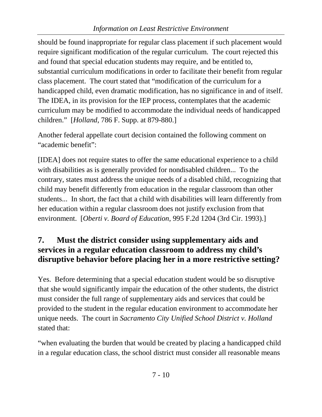should be found inappropriate for regular class placement if such placement would require significant modification of the regular curriculum. The court rejected this and found that special education students may require, and be entitled to, substantial curriculum modifications in order to facilitate their benefit from regular class placement. The court stated that "modification of the curriculum for a handicapped child, even dramatic modification, has no significance in and of itself. The IDEA, in its provision for the IEP process, contemplates that the academic curriculum may be modified to accommodate the individual needs of handicapped children." [*Holland*, 786 F. Supp. at 879-880.]

Another federal appellate court decision contained the following comment on "academic benefit":

[IDEA] does not require states to offer the same educational experience to a child with disabilities as is generally provided for nondisabled children... To the contrary, states must address the unique needs of a disabled child, recognizing that child may benefit differently from education in the regular classroom than other students... In short, the fact that a child with disabilities will learn differently from her education within a regular classroom does not justify exclusion from that environment. [*Oberti v. Board of Education*, 995 F.2d 1204 (3rd Cir. 1993).]

#### <span id="page-12-0"></span>**7. Must the district consider using supplementary aids and services in a regular education classroom to address my child's disruptive behavior before placing her in a more restrictive setting?**

Yes. Before determining that a special education student would be so disruptive that she would significantly impair the education of the other students, the district must consider the full range of supplementary aids and services that could be provided to the student in the regular education environment to accommodate her unique needs. The court in *Sacramento City Unified School District v. Holland* stated that:

"when evaluating the burden that would be created by placing a handicapped child in a regular education class, the school district must consider all reasonable means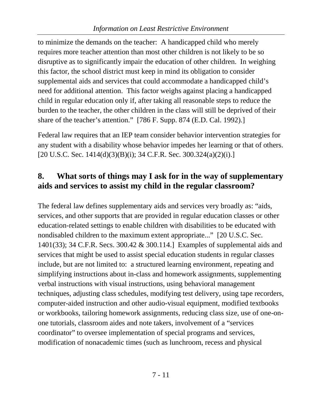to minimize the demands on the teacher: A handicapped child who merely requires more teacher attention than most other children is not likely to be so disruptive as to significantly impair the education of other children. In weighing this factor, the school district must keep in mind its obligation to consider supplemental aids and services that could accommodate a handicapped child's need for additional attention. This factor weighs against placing a handicapped child in regular education only if, after taking all reasonable steps to reduce the burden to the teacher, the other children in the class will still be deprived of their share of the teacher's attention." [786 F. Supp. 874 (E.D. Cal. 1992).]

Federal law requires that an IEP team consider behavior intervention strategies for any student with a disability whose behavior impedes her learning or that of others.  $[20 \text{ U.S.C.}$  Sec.  $1414(d)(3)(B)(i)$ ; 34 C.F.R. Sec. 300.324(a)(2)(i).]

## <span id="page-13-0"></span>**8. What sorts of things may I ask for in the way of supplementary aids and services to assist my child in the regular classroom?**

The federal law defines supplementary aids and services very broadly as: "aids, services, and other supports that are provided in regular education classes or other education-related settings to enable children with disabilities to be educated with nondisabled children to the maximum extent appropriate..." [20 U.S.C. Sec. 1401(33); 34 C.F.R. Secs. 300.42 & 300.114.] Examples of supplemental aids and services that might be used to assist special education students in regular classes include, but are not limited to: a structured learning environment, repeating and simplifying instructions about in-class and homework assignments, supplementing verbal instructions with visual instructions, using behavioral management techniques, adjusting class schedules, modifying test delivery, using tape recorders, computer-aided instruction and other audio-visual equipment, modified textbooks or workbooks, tailoring homework assignments, reducing class size, use of one-onone tutorials, classroom aides and note takers, involvement of a "services coordinator" to oversee implementation of special programs and services, modification of nonacademic times (such as lunchroom, recess and physical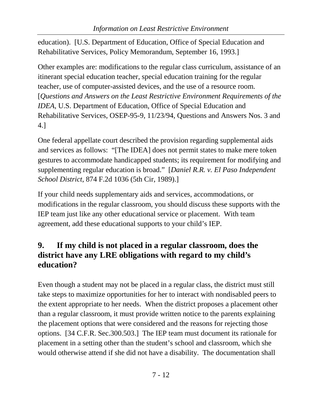education). [U.S. Department of Education, Office of Special Education and Rehabilitative Services, Policy Memorandum, September 16, 1993.]

Other examples are: modifications to the regular class curriculum, assistance of an itinerant special education teacher, special education training for the regular teacher, use of computer-assisted devices, and the use of a resource room. [*Questions and Answers on the Least Restrictive Environment Requirements of the IDEA*, U.S. Department of Education, Office of Special Education and Rehabilitative Services, OSEP-95-9, 11/23/94, Questions and Answers Nos. 3 and 4.]

One federal appellate court described the provision regarding supplemental aids and services as follows: "[The IDEA] does not permit states to make mere token gestures to accommodate handicapped students; its requirement for modifying and supplementing regular education is broad." [*Daniel R.R. v. El Paso Independent School District*, 874 F.2d 1036 (5th Cir, 1989).]

If your child needs supplementary aids and services, accommodations, or modifications in the regular classroom, you should discuss these supports with the IEP team just like any other educational service or placement. With team agreement, add these educational supports to your child's IEP.

## <span id="page-14-0"></span>**9. If my child is not placed in a regular classroom, does the district have any LRE obligations with regard to my child's education?**

Even though a student may not be placed in a regular class, the district must still take steps to maximize opportunities for her to interact with nondisabled peers to the extent appropriate to her needs. When the district proposes a placement other than a regular classroom, it must provide written notice to the parents explaining the placement options that were considered and the reasons for rejecting those options. [34 C.F.R. Sec.300.503.] The IEP team must document its rationale for placement in a setting other than the student's school and classroom, which she would otherwise attend if she did not have a disability. The documentation shall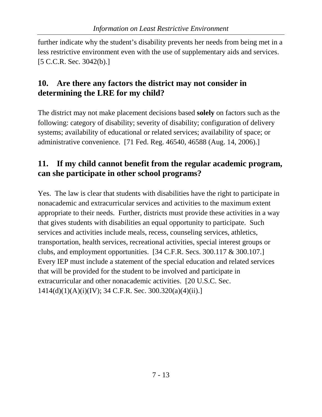further indicate why the student's disability prevents her needs from being met in a less restrictive environment even with the use of supplementary aids and services. [5 C.C.R. Sec. 3042(b).]

### <span id="page-15-0"></span>**10. Are there any factors the district may not consider in determining the LRE for my child?**

The district may not make placement decisions based **solely** on factors such as the following: category of disability; severity of disability; configuration of delivery systems; availability of educational or related services; availability of space; or administrative convenience. [71 Fed. Reg. 46540, 46588 (Aug. 14, 2006).]

#### <span id="page-15-1"></span>**11. If my child cannot benefit from the regular academic program, can she participate in other school programs?**

Yes. The law is clear that students with disabilities have the right to participate in nonacademic and extracurricular services and activities to the maximum extent appropriate to their needs. Further, districts must provide these activities in a way that gives students with disabilities an equal opportunity to participate. Such services and activities include meals, recess, counseling services, athletics, transportation, health services, recreational activities, special interest groups or clubs, and employment opportunities. [34 C.F.R. Secs. 300.117 & 300.107.] Every IEP must include a statement of the special education and related services that will be provided for the student to be involved and participate in extracurricular and other nonacademic activities. [20 U.S.C. Sec. 1414(d)(1)(A)(i)(IV); 34 C.F.R. Sec. 300.320(a)(4)(ii).]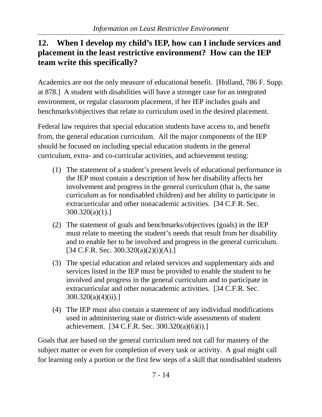### <span id="page-16-0"></span>**12. When I develop my child's IEP, how can I include services and placement in the least restrictive environment? How can the IEP team write this specifically?**

Academics are not the only measure of educational benefit. [Holland, 786 F. Supp. at 878.] A student with disabilities will have a stronger case for an integrated environment, or regular classroom placement, if her IEP includes goals and benchmarks/objectives that relate to curriculum used in the desired placement.

Federal law requires that special education students have access to, and benefit from, the general education curriculum. All the major components of the IEP should be focused on including special education students in the general curriculum, extra- and co-curricular activities, and achievement testing:

- (1) The statement of a student's present levels of educational performance in the IEP must contain a description of how her disability affects her involvement and progress in the general curriculum (that is, the same curriculum as for nondisabled children) and her ability to participate in extracurricular and other nonacademic activities. [34 C.F.R. Sec. 300.320(a)(1).]
- (2) The statement of goals and benchmarks/objectives (goals) in the IEP must relate to meeting the student's needs that result from her disability and to enable her to be involved and progress in the general curriculum.  $[34 \text{ C.F.R. Sec. } 300.320(a)(2)(i)(A).]$
- (3) The special education and related services and supplementary aids and services listed in the IEP must be provided to enable the student to be involved and progress in the general curriculum and to participate in extracurricular and other nonacademic activities. [34 C.F.R. Sec.  $300.320(a)(4)(ii).$
- (4) The IEP must also contain a statement of any individual modifications used in administering state or district-wide assessments of student achievement. [34 C.F.R. Sec. 300.320(a)(6)(i).]

Goals that are based on the general curriculum need not call for mastery of the subject matter or even for completion of every task or activity. A goal might call for learning only a portion or the first few steps of a skill that nondisabled students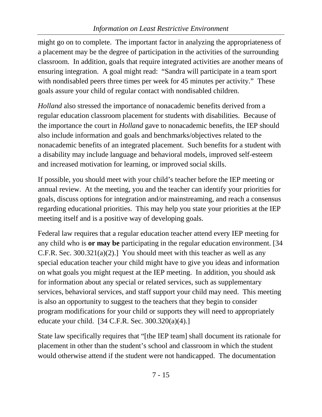might go on to complete. The important factor in analyzing the appropriateness of a placement may be the degree of participation in the activities of the surrounding classroom. In addition, goals that require integrated activities are another means of ensuring integration. A goal might read: "Sandra will participate in a team sport with nondisabled peers three times per week for 45 minutes per activity." These goals assure your child of regular contact with nondisabled children.

*Holland* also stressed the importance of nonacademic benefits derived from a regular education classroom placement for students with disabilities. Because of the importance the court in *Holland* gave to nonacademic benefits, the IEP should also include information and goals and benchmarks/objectives related to the nonacademic benefits of an integrated placement. Such benefits for a student with a disability may include language and behavioral models, improved self-esteem and increased motivation for learning, or improved social skills.

If possible, you should meet with your child's teacher before the IEP meeting or annual review. At the meeting, you and the teacher can identify your priorities for goals, discuss options for integration and/or mainstreaming, and reach a consensus regarding educational priorities. This may help you state your priorities at the IEP meeting itself and is a positive way of developing goals.

Federal law requires that a regular education teacher attend every IEP meeting for any child who is **or may be** participating in the regular education environment. [34 C.F.R. Sec. 300.321(a)(2).] You should meet with this teacher as well as any special education teacher your child might have to give you ideas and information on what goals you might request at the IEP meeting. In addition, you should ask for information about any special or related services, such as supplementary services, behavioral services, and staff support your child may need. This meeting is also an opportunity to suggest to the teachers that they begin to consider program modifications for your child or supports they will need to appropriately educate your child. [34 C.F.R. Sec. 300.320(a)(4).]

State law specifically requires that "[the IEP team] shall document its rationale for placement in other than the student's school and classroom in which the student would otherwise attend if the student were not handicapped. The documentation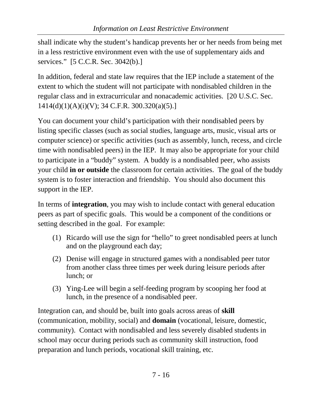shall indicate why the student's handicap prevents her or her needs from being met in a less restrictive environment even with the use of supplementary aids and services." [5 C.C.R. Sec. 3042(b).]

In addition, federal and state law requires that the IEP include a statement of the extent to which the student will not participate with nondisabled children in the regular class and in extracurricular and nonacademic activities. [20 U.S.C. Sec. 1414(d)(1)(A)(i)(V); 34 C.F.R. 300.320(a)(5).]

You can document your child's participation with their nondisabled peers by listing specific classes (such as social studies, language arts, music, visual arts or computer science) or specific activities (such as assembly, lunch, recess, and circle time with nondisabled peers) in the IEP. It may also be appropriate for your child to participate in a "buddy" system. A buddy is a nondisabled peer, who assists your child **in or outside** the classroom for certain activities. The goal of the buddy system is to foster interaction and friendship. You should also document this support in the IEP.

In terms of **integration**, you may wish to include contact with general education peers as part of specific goals. This would be a component of the conditions or setting described in the goal. For example:

- (1) Ricardo will use the sign for "hello" to greet nondisabled peers at lunch and on the playground each day;
- (2) Denise will engage in structured games with a nondisabled peer tutor from another class three times per week during leisure periods after lunch; or
- (3) Ying-Lee will begin a self-feeding program by scooping her food at lunch, in the presence of a nondisabled peer.

Integration can, and should be, built into goals across areas of **skill** (communication, mobility, social) and **domain** (vocational, leisure, domestic, community). Contact with nondisabled and less severely disabled students in school may occur during periods such as community skill instruction, food preparation and lunch periods, vocational skill training, etc.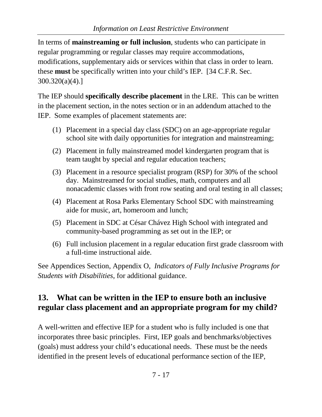In terms of **mainstreaming or full inclusion**, students who can participate in regular programming or regular classes may require accommodations, modifications, supplementary aids or services within that class in order to learn. these **must** be specifically written into your child's IEP. [34 C.F.R. Sec. 300.320(a)(4).]

The IEP should **specifically describe placement** in the LRE. This can be written in the placement section, in the notes section or in an addendum attached to the IEP. Some examples of placement statements are:

- (1) Placement in a special day class (SDC) on an age-appropriate regular school site with daily opportunities for integration and mainstreaming;
- (2) Placement in fully mainstreamed model kindergarten program that is team taught by special and regular education teachers;
- (3) Placement in a resource specialist program (RSP) for 30% of the school day. Mainstreamed for social studies, math, computers and all nonacademic classes with front row seating and oral testing in all classes;
- (4) Placement at Rosa Parks Elementary School SDC with mainstreaming aide for music, art, homeroom and lunch;
- (5) Placement in SDC at César Chávez High School with integrated and community-based programming as set out in the IEP; or
- (6) Full inclusion placement in a regular education first grade classroom with a full-time instructional aide.

See Appendices Section, Appendix O, *Indicators of Fully Inclusive Programs for Students with Disabilities*, for additional guidance.

# <span id="page-19-0"></span>**13. What can be written in the IEP to ensure both an inclusive regular class placement and an appropriate program for my child?**

A well-written and effective IEP for a student who is fully included is one that incorporates three basic principles. First, IEP goals and benchmarks/objectives (goals) must address your child's educational needs. These must be the needs identified in the present levels of educational performance section of the IEP,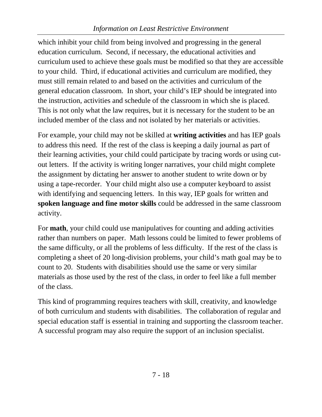which inhibit your child from being involved and progressing in the general education curriculum. Second, if necessary, the educational activities and curriculum used to achieve these goals must be modified so that they are accessible to your child. Third, if educational activities and curriculum are modified, they must still remain related to and based on the activities and curriculum of the general education classroom. In short, your child's IEP should be integrated into the instruction, activities and schedule of the classroom in which she is placed. This is not only what the law requires, but it is necessary for the student to be an included member of the class and not isolated by her materials or activities.

For example, your child may not be skilled at **writing activities** and has IEP goals to address this need. If the rest of the class is keeping a daily journal as part of their learning activities, your child could participate by tracing words or using cutout letters. If the activity is writing longer narratives, your child might complete the assignment by dictating her answer to another student to write down or by using a tape-recorder. Your child might also use a computer keyboard to assist with identifying and sequencing letters. In this way, IEP goals for written and **spoken language and fine motor skills** could be addressed in the same classroom activity.

For **math**, your child could use manipulatives for counting and adding activities rather than numbers on paper. Math lessons could be limited to fewer problems of the same difficulty, or all the problems of less difficulty. If the rest of the class is completing a sheet of 20 long-division problems, your child's math goal may be to count to 20. Students with disabilities should use the same or very similar materials as those used by the rest of the class, in order to feel like a full member of the class.

This kind of programming requires teachers with skill, creativity, and knowledge of both curriculum and students with disabilities. The collaboration of regular and special education staff is essential in training and supporting the classroom teacher. A successful program may also require the support of an inclusion specialist.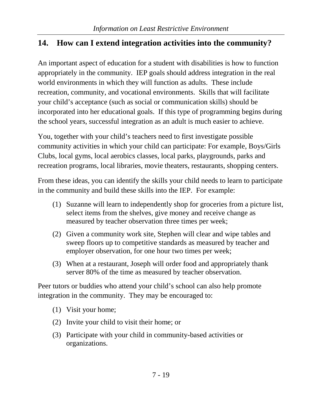# <span id="page-21-0"></span>**14. How can I extend integration activities into the community?**

An important aspect of education for a student with disabilities is how to function appropriately in the community. IEP goals should address integration in the real world environments in which they will function as adults. These include recreation, community, and vocational environments. Skills that will facilitate your child's acceptance (such as social or communication skills) should be incorporated into her educational goals. If this type of programming begins during the school years, successful integration as an adult is much easier to achieve.

You, together with your child's teachers need to first investigate possible community activities in which your child can participate: For example, Boys/Girls Clubs, local gyms, local aerobics classes, local parks, playgrounds, parks and recreation programs, local libraries, movie theaters, restaurants, shopping centers.

From these ideas, you can identify the skills your child needs to learn to participate in the community and build these skills into the IEP. For example:

- (1) Suzanne will learn to independently shop for groceries from a picture list, select items from the shelves, give money and receive change as measured by teacher observation three times per week;
- (2) Given a community work site, Stephen will clear and wipe tables and sweep floors up to competitive standards as measured by teacher and employer observation, for one hour two times per week;
- (3) When at a restaurant, Joseph will order food and appropriately thank server 80% of the time as measured by teacher observation.

Peer tutors or buddies who attend your child's school can also help promote integration in the community. They may be encouraged to:

- (1) Visit your home;
- (2) Invite your child to visit their home; or
- (3) Participate with your child in community-based activities or organizations.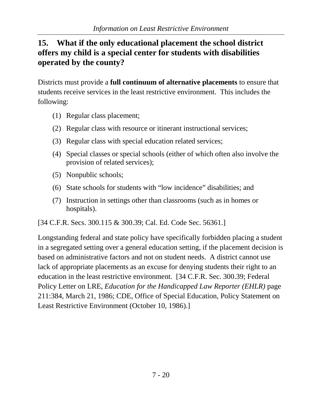### <span id="page-22-0"></span>**15. What if the only educational placement the school district offers my child is a special center for students with disabilities operated by the county?**

Districts must provide a **full continuum of alternative placements** to ensure that students receive services in the least restrictive environment. This includes the following:

- (1) Regular class placement;
- (2) Regular class with resource or itinerant instructional services;
- (3) Regular class with special education related services;
- (4) Special classes or special schools (either of which often also involve the provision of related services);
- (5) Nonpublic schools;
- (6) State schools for students with "low incidence" disabilities; and
- (7) Instruction in settings other than classrooms (such as in homes or hospitals).

[34 C.F.R. Secs. 300.115 & 300.39; Cal. Ed. Code Sec. 56361.]

Longstanding federal and state policy have specifically forbidden placing a student in a segregated setting over a general education setting, if the placement decision is based on administrative factors and not on student needs. A district cannot use lack of appropriate placements as an excuse for denying students their right to an education in the least restrictive environment. [34 C.F.R. Sec. 300.39; Federal Policy Letter on LRE, *Education for the Handicapped Law Reporter (EHLR)* page 211:384, March 21, 1986; CDE, Office of Special Education, Policy Statement on Least Restrictive Environment (October 10, 1986).]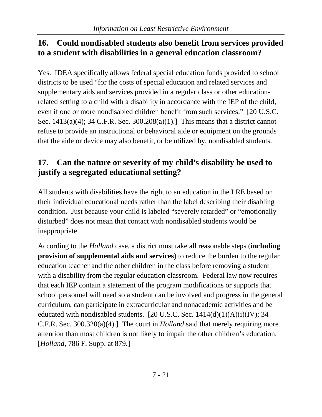#### <span id="page-23-0"></span>**16. Could nondisabled students also benefit from services provided to a student with disabilities in a general education classroom?**

Yes. IDEA specifically allows federal special education funds provided to school districts to be used "for the costs of special education and related services and supplementary aids and services provided in a regular class or other educationrelated setting to a child with a disability in accordance with the IEP of the child, even if one or more nondisabled children benefit from such services." [20 U.S.C. Sec. 1413(a)(4); 34 C.F.R. Sec. 300.208(a)(1).] This means that a district cannot refuse to provide an instructional or behavioral aide or equipment on the grounds that the aide or device may also benefit, or be utilized by, nondisabled students.

# <span id="page-23-1"></span>**17. Can the nature or severity of my child's disability be used to justify a segregated educational setting?**

All students with disabilities have the right to an education in the LRE based on their individual educational needs rather than the label describing their disabling condition. Just because your child is labeled "severely retarded" or "emotionally disturbed" does not mean that contact with nondisabled students would be inappropriate.

According to the *Holland* case, a district must take all reasonable steps (**including provision of supplemental aids and services**) to reduce the burden to the regular education teacher and the other children in the class before removing a student with a disability from the regular education classroom. Federal law now requires that each IEP contain a statement of the program modifications or supports that school personnel will need so a student can be involved and progress in the general curriculum, can participate in extracurricular and nonacademic activities and be educated with nondisabled students. [20 U.S.C. Sec.  $1414(d)(1)(A)(i)(IV);$  34 C.F.R. Sec. 300.320(a)(4).] The court in *Holland* said that merely requiring more attention than most children is not likely to impair the other children's education. [*Holland*, 786 F. Supp. at 879.]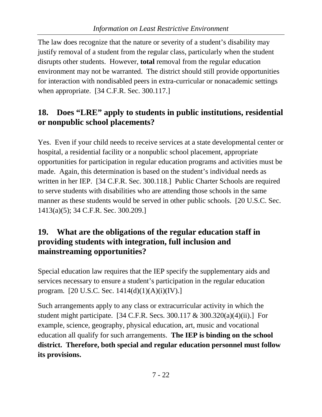The law does recognize that the nature or severity of a student's disability may justify removal of a student from the regular class, particularly when the student disrupts other students. However, **total** removal from the regular education environment may not be warranted. The district should still provide opportunities for interaction with nondisabled peers in extra-curricular or nonacademic settings when appropriate. [34 C.F.R. Sec. 300.117.]

# <span id="page-24-0"></span>**18. Does "LRE" apply to students in public institutions, residential or nonpublic school placements?**

Yes. Even if your child needs to receive services at a state developmental center or hospital, a residential facility or a nonpublic school placement, appropriate opportunities for participation in regular education programs and activities must be made. Again, this determination is based on the student's individual needs as written in her IEP. [34 C.F.R. Sec. 300.118.] Public Charter Schools are required to serve students with disabilities who are attending those schools in the same manner as these students would be served in other public schools. [20 U.S.C. Sec. 1413(a)(5); 34 C.F.R. Sec. 300.209.]

#### <span id="page-24-1"></span>**19. What are the obligations of the regular education staff in providing students with integration, full inclusion and mainstreaming opportunities?**

Special education law requires that the IEP specify the supplementary aids and services necessary to ensure a student's participation in the regular education program. [20 U.S.C. Sec. 1414(d)(1)(A)(i)(IV).]

Such arrangements apply to any class or extracurricular activity in which the student might participate. [34 C.F.R. Secs. 300.117 & 300.320(a)(4)(ii).] For example, science, geography, physical education, art, music and vocational education all qualify for such arrangements. **The IEP is binding on the school district. Therefore, both special and regular education personnel must follow its provisions.**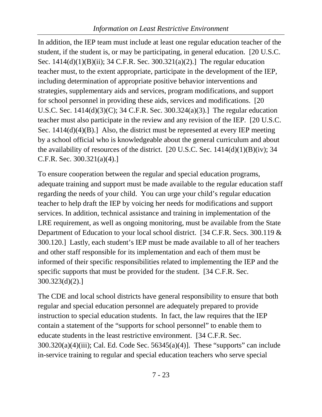In addition, the IEP team must include at least one regular education teacher of the student, if the student is, or may be participating, in general education. [20 U.S.C. Sec. 1414(d)(1)(B)(ii); 34 C.F.R. Sec. 300.321(a)(2).] The regular education teacher must, to the extent appropriate, participate in the development of the IEP, including determination of appropriate positive behavior interventions and strategies, supplementary aids and services, program modifications, and support for school personnel in providing these aids, services and modifications. [20 U.S.C. Sec. 1414(d)(3)(C); 34 C.F.R. Sec. 300.324(a)(3).] The regular education teacher must also participate in the review and any revision of the IEP. [20 U.S.C. Sec. 1414(d)(4)(B).] Also, the district must be represented at every IEP meeting by a school official who is knowledgeable about the general curriculum and about the availability of resources of the district. [20 U.S.C. Sec.  $1414(d)(1)(B)(iv)$ ; 34 C.F.R. Sec. 300.321(a)(4).]

To ensure cooperation between the regular and special education programs, adequate training and support must be made available to the regular education staff regarding the needs of your child. You can urge your child's regular education teacher to help draft the IEP by voicing her needs for modifications and support services. In addition, technical assistance and training in implementation of the LRE requirement, as well as ongoing monitoring, must be available from the State Department of Education to your local school district. [34 C.F.R. Secs. 300.119 & 300.120.] Lastly, each student's IEP must be made available to all of her teachers and other staff responsible for its implementation and each of them must be informed of their specific responsibilities related to implementing the IEP and the specific supports that must be provided for the student. [34 C.F.R. Sec. 300.323(d)(2).]

The CDE and local school districts have general responsibility to ensure that both regular and special education personnel are adequately prepared to provide instruction to special education students. In fact, the law requires that the IEP contain a statement of the "supports for school personnel" to enable them to educate students in the least restrictive environment. [34 C.F.R. Sec. 300.320(a)(4)(iii); Cal. Ed. Code Sec. 56345(a)(4)]. These "supports" can include in-service training to regular and special education teachers who serve special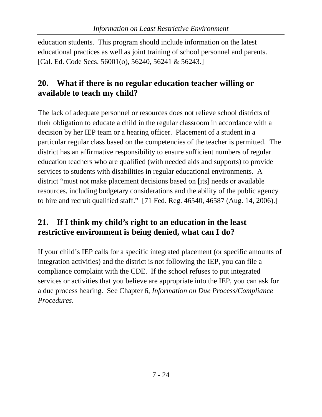education students. This program should include information on the latest educational practices as well as joint training of school personnel and parents. [Cal. Ed. Code Secs. 56001(o), 56240, 56241 & 56243.]

## <span id="page-26-0"></span>**20. What if there is no regular education teacher willing or available to teach my child?**

The lack of adequate personnel or resources does not relieve school districts of their obligation to educate a child in the regular classroom in accordance with a decision by her IEP team or a hearing officer. Placement of a student in a particular regular class based on the competencies of the teacher is permitted. The district has an affirmative responsibility to ensure sufficient numbers of regular education teachers who are qualified (with needed aids and supports) to provide services to students with disabilities in regular educational environments. A district "must not make placement decisions based on [its] needs or available resources, including budgetary considerations and the ability of the public agency to hire and recruit qualified staff." [71 Fed. Reg. 46540, 46587 (Aug. 14, 2006).]

## <span id="page-26-1"></span>**21. If I think my child's right to an education in the least restrictive environment is being denied, what can I do?**

If your child's IEP calls for a specific integrated placement (or specific amounts of integration activities) and the district is not following the IEP, you can file a compliance complaint with the CDE. If the school refuses to put integrated services or activities that you believe are appropriate into the IEP, you can ask for a due process hearing. See Chapter 6, *Information on Due Process/Compliance Procedures*.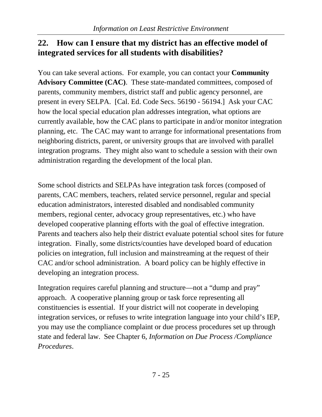#### <span id="page-27-0"></span>**22. How can I ensure that my district has an effective model of integrated services for all students with disabilities?**

You can take several actions. For example, you can contact your **Community Advisory Committee (CAC)**. These state-mandated committees, composed of parents, community members, district staff and public agency personnel, are present in every SELPA. [Cal. Ed. Code Secs. 56190 - 56194.] Ask your CAC how the local special education plan addresses integration, what options are currently available, how the CAC plans to participate in and/or monitor integration planning, etc. The CAC may want to arrange for informational presentations from neighboring districts, parent, or university groups that are involved with parallel integration programs. They might also want to schedule a session with their own administration regarding the development of the local plan.

Some school districts and SELPAs have integration task forces (composed of parents, CAC members, teachers, related service personnel, regular and special education administrators, interested disabled and nondisabled community members, regional center, advocacy group representatives, etc.) who have developed cooperative planning efforts with the goal of effective integration. Parents and teachers also help their district evaluate potential school sites for future integration. Finally, some districts/counties have developed board of education policies on integration, full inclusion and mainstreaming at the request of their CAC and/or school administration. A board policy can be highly effective in developing an integration process.

Integration requires careful planning and structure—not a "dump and pray" approach. A cooperative planning group or task force representing all constituencies is essential. If your district will not cooperate in developing integration services, or refuses to write integration language into your child's IEP, you may use the compliance complaint or due process procedures set up through state and federal law. See Chapter 6, *Information on Due Process /Compliance Procedures*.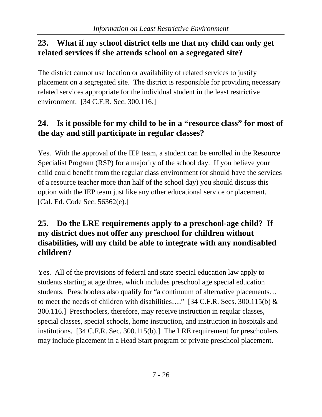#### <span id="page-28-0"></span>**23. What if my school district tells me that my child can only get related services if she attends school on a segregated site?**

The district cannot use location or availability of related services to justify placement on a segregated site. The district is responsible for providing necessary related services appropriate for the individual student in the least restrictive environment. [34 C.F.R. Sec. 300.116.]

# <span id="page-28-1"></span>**24. Is it possible for my child to be in a "resource class" for most of the day and still participate in regular classes?**

Yes. With the approval of the IEP team, a student can be enrolled in the Resource Specialist Program (RSP) for a majority of the school day. If you believe your child could benefit from the regular class environment (or should have the services of a resource teacher more than half of the school day) you should discuss this option with the IEP team just like any other educational service or placement. [Cal. Ed. Code Sec. 56362(e).]

#### <span id="page-28-2"></span>**25. Do the LRE requirements apply to a preschool-age child? If my district does not offer any preschool for children without disabilities, will my child be able to integrate with any nondisabled children?**

Yes. All of the provisions of federal and state special education law apply to students starting at age three, which includes preschool age special education students. Preschoolers also qualify for "a continuum of alternative placements… to meet the needs of children with disabilities...." [34 C.F.R. Secs. 300.115(b)  $\&$ 300.116.] Preschoolers, therefore, may receive instruction in regular classes, special classes, special schools, home instruction, and instruction in hospitals and institutions. [34 C.F.R. Sec. 300.115(b).] The LRE requirement for preschoolers may include placement in a Head Start program or private preschool placement.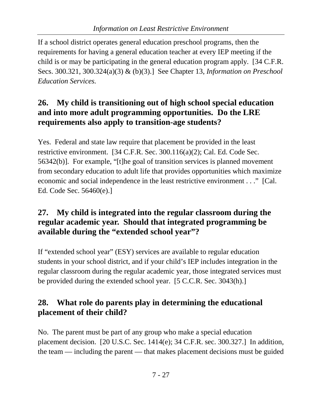If a school district operates general education preschool programs, then the requirements for having a general education teacher at every IEP meeting if the child is or may be participating in the general education program apply. [34 C.F.R. Secs. 300.321, 300.324(a)(3) & (b)(3).] See Chapter 13, *Information on Preschool Education Services.*

### <span id="page-29-0"></span>**26. My child is transitioning out of high school special education and into more adult programming opportunities. Do the LRE requirements also apply to transition-age students?**

Yes. Federal and state law require that placement be provided in the least restrictive environment. [34 C.F.R. Sec. 300.116(a)(2); Cal. Ed. Code Sec. 56342(b)]. For example, "[t]he goal of transition services is planned movement from secondary education to adult life that provides opportunities which maximize economic and social independence in the least restrictive environment . . ." [Cal. Ed. Code Sec. 56460(e).]

## <span id="page-29-1"></span>**27. My child is integrated into the regular classroom during the regular academic year. Should that integrated programming be available during the "extended school year"?**

If "extended school year" (ESY) services are available to regular education students in your school district, and if your child's IEP includes integration in the regular classroom during the regular academic year, those integrated services must be provided during the extended school year. [5 C.C.R. Sec. 3043(h).]

# <span id="page-29-2"></span>**28. What role do parents play in determining the educational placement of their child?**

No. The parent must be part of any group who make a special education placement decision. [20 U.S.C. Sec. 1414(e); 34 C.F.R. sec. 300.327.] In addition, the team — including the parent — that makes placement decisions must be guided